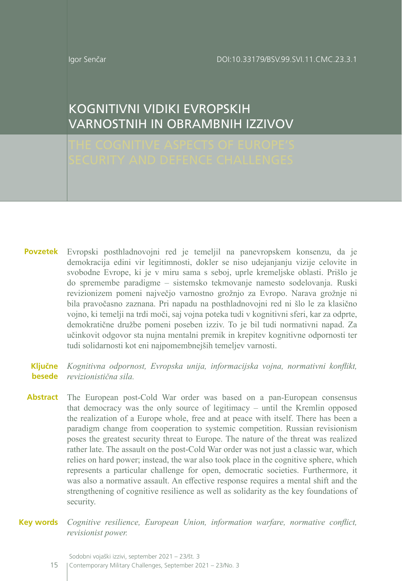Igor Senčar

# KOGNITIVNI VIDIKI EVROPSKIH VARNOSTNIH IN OBRAMBNIH IZZIVOV

- Evropski posthladnovojni red je temeljil na panevropskem konsenzu, da je **Povzetek** demokracija edini vir legitimnosti, dokler se niso udejanjanju vizije celovite in svobodne Evrope, ki je v miru sama s seboj, uprle kremeljske oblasti. Prišlo je do spremembe paradigme – sistemsko tekmovanje namesto sodelovanja. Ruski revizionizem pomeni največjo varnostno grožnjo za Evropo. Narava grožnje ni bila pravočasno zaznana. Pri napadu na posthladnovojni red ni šlo le za klasično vojno, ki temelji na trdi moči, saj vojna poteka tudi v kognitivni sferi, kar za odprte, demokratične družbe pomeni poseben izziv. To je bil tudi normativni napad. Za učinkovit odgovor sta nujna mentalni premik in krepitev kognitivne odpornosti ter tudi solidarnosti kot eni najpomembnejših temeljev varnosti.
	- *Kognitivna odpornost, Evropska unija, informacijska vojna, normativni konflikt,*  **Ključne**  *revizionistična sila.* **besede**
- Abstract The European post-Cold War order was based on a pan-European consensus that democracy was the only source of legitimacy – until the Kremlin opposed the realization of a Europe whole, free and at peace with itself. There has been a paradigm change from cooperation to systemic competition. Russian revisionism poses the greatest security threat to Europe. The nature of the threat was realized rather late. The assault on the post-Cold War order was not just a classic war, which relies on hard power; instead, the war also took place in the cognitive sphere, which represents a particular challenge for open, democratic societies. Furthermore, it was also a normative assault. An effective response requires a mental shift and the strengthening of cognitive resilience as well as solidarity as the key foundations of security.
- *Cognitive resilience, European Union, information warfare, normative conflict, revisionist power.* **Key words**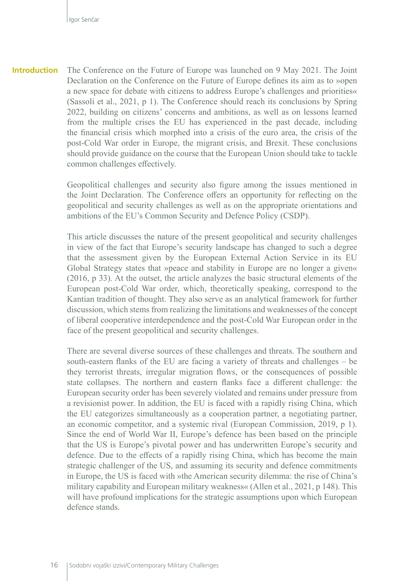The Conference on the Future of Europe was launched on 9 May 2021. The Joint Declaration on the Conference on the Future of Europe defines its aim as to »open a new space for debate with citizens to address Europe's challenges and priorities« (Sassoli et al., 2021, p 1). The Conference should reach its conclusions by Spring 2022, building on citizens' concerns and ambitions, as well as on lessons learned from the multiple crises the EU has experienced in the past decade, including the financial crisis which morphed into a crisis of the euro area, the crisis of the post-Cold War order in Europe, the migrant crisis, and Brexit. These conclusions should provide guidance on the course that the European Union should take to tackle common challenges effectively. **Introduction**

> Geopolitical challenges and security also figure among the issues mentioned in the Joint Declaration. The Conference offers an opportunity for reflecting on the geopolitical and security challenges as well as on the appropriate orientations and ambitions of the EU's Common Security and Defence Policy (CSDP).

> This article discusses the nature of the present geopolitical and security challenges in view of the fact that Europe's security landscape has changed to such a degree that the assessment given by the European External Action Service in its EU Global Strategy states that »peace and stability in Europe are no longer a given« (2016, p 33). At the outset, the article analyzes the basic structural elements of the European post-Cold War order, which, theoretically speaking, correspond to the Kantian tradition of thought. They also serve as an analytical framework for further discussion, which stems from realizing the limitations and weaknesses of the concept of liberal cooperative interdependence and the post-Cold War European order in the face of the present geopolitical and security challenges.

> There are several diverse sources of these challenges and threats. The southern and south-eastern flanks of the EU are facing a variety of threats and challenges – be they terrorist threats, irregular migration flows, or the consequences of possible state collapses. The northern and eastern flanks face a different challenge: the European security order has been severely violated and remains under pressure from a revisionist power. In addition, the EU is faced with a rapidly rising China, which the EU categorizes simultaneously as a cooperation partner, a negotiating partner, an economic competitor, and a systemic rival (European Commission, 2019, p 1). Since the end of World War II, Europe's defence has been based on the principle that the US is Europe's pivotal power and has underwritten Europe's security and defence. Due to the effects of a rapidly rising China, which has become the main strategic challenger of the US, and assuming its security and defence commitments in Europe, the US is faced with »the American security dilemma: the rise of China's military capability and European military weakness« (Allen et al., 2021, p 148). This will have profound implications for the strategic assumptions upon which European defence stands.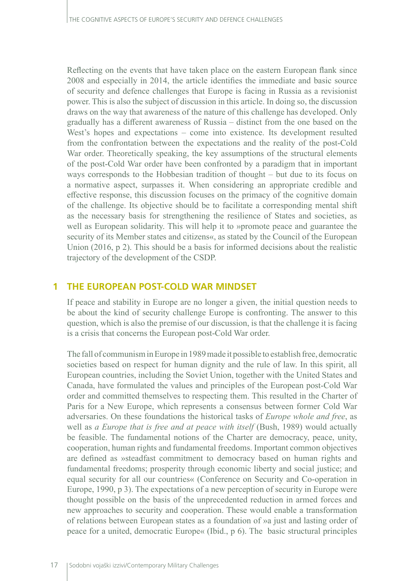Reflecting on the events that have taken place on the eastern European flank since 2008 and especially in 2014, the article identifies the immediate and basic source of security and defence challenges that Europe is facing in Russia as a revisionist power. This is also the subject of discussion in this article. In doing so, the discussion draws on the way that awareness of the nature of this challenge has developed. Only gradually has a different awareness of Russia – distinct from the one based on the West's hopes and expectations – come into existence. Its development resulted from the confrontation between the expectations and the reality of the post-Cold War order. Theoretically speaking, the key assumptions of the structural elements of the post-Cold War order have been confronted by a paradigm that in important ways corresponds to the Hobbesian tradition of thought – but due to its focus on a normative aspect, surpasses it. When considering an appropriate credible and effective response, this discussion focuses on the primacy of the cognitive domain of the challenge. Its objective should be to facilitate a corresponding mental shift as the necessary basis for strengthening the resilience of States and societies, as well as European solidarity. This will help it to »promote peace and guarantee the security of its Member states and citizens«, as stated by the Council of the European Union (2016, p 2). This should be a basis for informed decisions about the realistic trajectory of the development of the CSDP.

#### **1 THE EUROPEAN POST-COLD WAR MINDSET**

If peace and stability in Europe are no longer a given, the initial question needs to be about the kind of security challenge Europe is confronting. The answer to this question, which is also the premise of our discussion, is that the challenge it is facing is a crisis that concerns the European post-Cold War order.

The fall of communism in Europe in 1989 made it possible to establish free, democratic societies based on respect for human dignity and the rule of law. In this spirit, all European countries, including the Soviet Union, together with the United States and Canada, have formulated the values and principles of the European post-Cold War order and committed themselves to respecting them. This resulted in the Charter of Paris for a New Europe, which represents a consensus between former Cold War adversaries. On these foundations the historical tasks of *Europe whole and free*, as well as *a Europe that is free and at peace with itself* (Bush, 1989) would actually be feasible. The fundamental notions of the Charter are democracy, peace, unity, cooperation, human rights and fundamental freedoms. Important common objectives are defined as »steadfast commitment to democracy based on human rights and fundamental freedoms; prosperity through economic liberty and social justice; and equal security for all our countries« (Conference on Security and Co-operation in Europe, 1990, p 3). The expectations of a new perception of security in Europe were thought possible on the basis of the unprecedented reduction in armed forces and new approaches to security and cooperation. These would enable a transformation of relations between European states as a foundation of »a just and lasting order of peace for a united, democratic Europe« (Ibid., p 6). The basic structural principles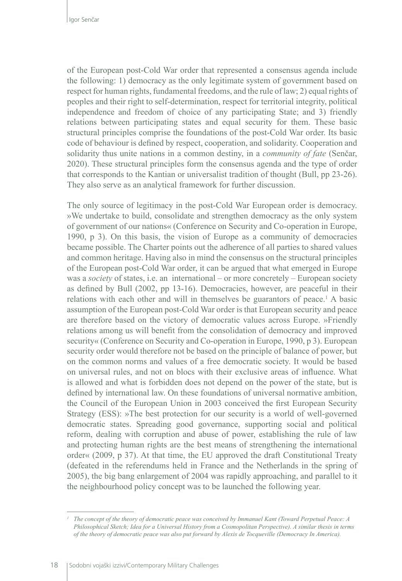of the European post-Cold War order that represented a consensus agenda include the following: 1) democracy as the only legitimate system of government based on respect for human rights, fundamental freedoms, and the rule of law; 2) equal rights of peoples and their right to self-determination, respect for territorial integrity, political independence and freedom of choice of any participating State; and 3) friendly relations between participating states and equal security for them. These basic structural principles comprise the foundations of the post-Cold War order. Its basic code of behaviour is defined by respect, cooperation, and solidarity. Cooperation and solidarity thus unite nations in a common destiny, in a *community of fate* (Senčar, 2020). These structural principles form the consensus agenda and the type of order that corresponds to the Kantian or universalist tradition of thought (Bull, pp 23-26). They also serve as an analytical framework for further discussion.

The only source of legitimacy in the post-Cold War European order is democracy. »We undertake to build, consolidate and strengthen democracy as the only system of government of our nations« (Conference on Security and Co-operation in Europe, 1990, p 3). On this basis, the vision of Europe as a community of democracies became possible. The Charter points out the adherence of all parties to shared values and common heritage. Having also in mind the consensus on the structural principles of the European post-Cold War order, it can be argued that what emerged in Europe was a *society* of states, i.e. an international – or more concretely – European society as defined by Bull (2002, pp 13-16). Democracies, however, are peaceful in their relations with each other and will in themselves be guarantors of peace.<sup>1</sup> A basic assumption of the European post-Cold War order is that European security and peace are therefore based on the victory of democratic values across Europe. »Friendly relations among us will benefit from the consolidation of democracy and improved security« (Conference on Security and Co-operation in Europe, 1990, p 3). European security order would therefore not be based on the principle of balance of power, but on the common norms and values of a free democratic society. It would be based on universal rules, and not on blocs with their exclusive areas of influence. What is allowed and what is forbidden does not depend on the power of the state, but is defined by international law. On these foundations of universal normative ambition, the Council of the European Union in 2003 conceived the first European Security Strategy (ESS): »The best protection for our security is a world of well-governed democratic states. Spreading good governance, supporting social and political reform, dealing with corruption and abuse of power, establishing the rule of law and protecting human rights are the best means of strengthening the international order« (2009, p 37). At that time, the EU approved the draft Constitutional Treaty (defeated in the referendums held in France and the Netherlands in the spring of 2005), the big bang enlargement of 2004 was rapidly approaching, and parallel to it the neighbourhood policy concept was to be launched the following year.

*<sup>1</sup> The concept of the theory of democratic peace was conceived by Immanuel Kant (Toward Perpetual Peace: A Philosophical Sketch; Idea for a Universal History from a Cosmopolitan Perspective). A similar thesis in terms of the theory of democratic peace was also put forward by Alexis de Tocqueville (Democracy In America).*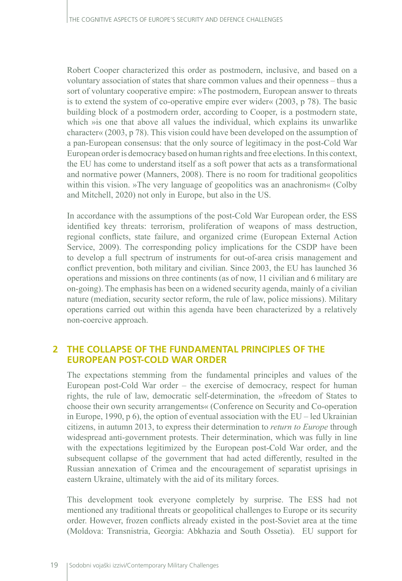Robert Cooper characterized this order as postmodern, inclusive, and based on a voluntary association of states that share common values and their openness – thus a sort of voluntary cooperative empire: »The postmodern, European answer to threats is to extend the system of co-operative empire ever wider« (2003, p 78). The basic building block of a postmodern order, according to Cooper, is a postmodern state, which »is one that above all values the individual, which explains its unwarlike character« (2003, p 78). This vision could have been developed on the assumption of a pan-European consensus: that the only source of legitimacy in the post-Cold War European order is democracy based on human rights and free elections. In this context, the EU has come to understand itself as a soft power that acts as a transformational and normative power (Manners, 2008). There is no room for traditional geopolitics within this vision. »The very language of geopolitics was an anachronism« (Colby and Mitchell, 2020) not only in Europe, but also in the US.

In accordance with the assumptions of the post-Cold War European order, the ESS identified key threats: terrorism, proliferation of weapons of mass destruction, regional conflicts, state failure, and organized crime (European External Action Service, 2009). The corresponding policy implications for the CSDP have been to develop a full spectrum of instruments for out-of-area crisis management and conflict prevention, both military and civilian. Since 2003, the EU has launched 36 operations and missions on three continents (as of now, 11 civilian and 6 military are on-going). The emphasis has been on a widened security agenda, mainly of a civilian nature (mediation, security sector reform, the rule of law, police missions). Military operations carried out within this agenda have been characterized by a relatively non-coercive approach.

## **2 THE COLLAPSE OF THE FUNDAMENTAL PRINCIPLES OF THE EUROPEAN POST-COLD WAR ORDER**

The expectations stemming from the fundamental principles and values of the European post-Cold War order – the exercise of democracy, respect for human rights, the rule of law, democratic self-determination, the »freedom of States to choose their own security arrangements« (Conference on Security and Co-operation in Europe, 1990, p 6), the option of eventual association with the  $EU - led$  Ukrainian citizens, in autumn 2013, to express their determination to *return to Europe* through widespread anti-government protests. Their determination, which was fully in line with the expectations legitimized by the European post-Cold War order, and the subsequent collapse of the government that had acted differently, resulted in the Russian annexation of Crimea and the encouragement of separatist uprisings in eastern Ukraine, ultimately with the aid of its military forces.

This development took everyone completely by surprise. The ESS had not mentioned any traditional threats or geopolitical challenges to Europe or its security order. However, frozen conflicts already existed in the post-Soviet area at the time (Moldova: Transnistria, Georgia: Abkhazia and South Ossetia). EU support for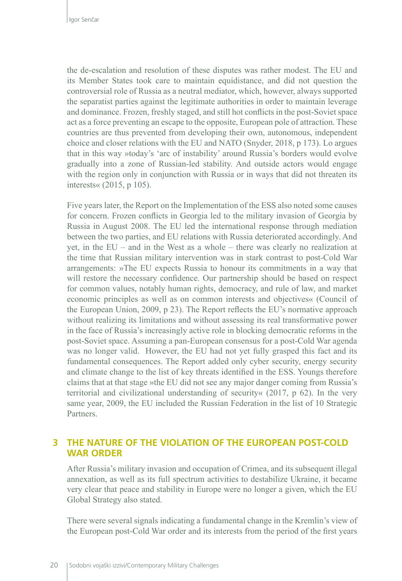the de-escalation and resolution of these disputes was rather modest. The EU and its Member States took care to maintain equidistance, and did not question the controversial role of Russia as a neutral mediator, which, however, always supported the separatist parties against the legitimate authorities in order to maintain leverage and dominance. Frozen, freshly staged, and still hot conflicts in the post-Soviet space act as a force preventing an escape to the opposite, European pole of attraction. These countries are thus prevented from developing their own, autonomous, independent choice and closer relations with the EU and NATO (Snyder, 2018, p 173). Lo argues that in this way »today's 'arc of instability' around Russia's borders would evolve gradually into a zone of Russian-led stability. And outside actors would engage with the region only in conjunction with Russia or in ways that did not threaten its interests« (2015, p 105).

Five years later, the Report on the Implementation of the ESS also noted some causes for concern. Frozen conflicts in Georgia led to the military invasion of Georgia by Russia in August 2008. The EU led the international response through mediation between the two parties, and EU relations with Russia deteriorated accordingly. And yet, in the EU – and in the West as a whole – there was clearly no realization at the time that Russian military intervention was in stark contrast to post-Cold War arrangements: »The EU expects Russia to honour its commitments in a way that will restore the necessary confidence. Our partnership should be based on respect for common values, notably human rights, democracy, and rule of law, and market economic principles as well as on common interests and objectives« (Council of the European Union, 2009, p 23). The Report reflects the EU's normative approach without realizing its limitations and without assessing its real transformative power in the face of Russia's increasingly active role in blocking democratic reforms in the post-Soviet space. Assuming a pan-European consensus for a post-Cold War agenda was no longer valid. However, the EU had not yet fully grasped this fact and its fundamental consequences. The Report added only cyber security, energy security and climate change to the list of key threats identified in the ESS. Youngs therefore claims that at that stage »the EU did not see any major danger coming from Russia's territorial and civilizational understanding of security« (2017, p 62). In the very same year, 2009, the EU included the Russian Federation in the list of 10 Strategic Partners.

## **3 THE NATURE OF THE VIOLATION OF THE EUROPEAN POST-COLD WAR ORDER**

After Russia's military invasion and occupation of Crimea, and its subsequent illegal annexation, as well as its full spectrum activities to destabilize Ukraine, it became very clear that peace and stability in Europe were no longer a given, which the EU Global Strategy also stated.

There were several signals indicating a fundamental change in the Kremlin's view of the European post-Cold War order and its interests from the period of the first years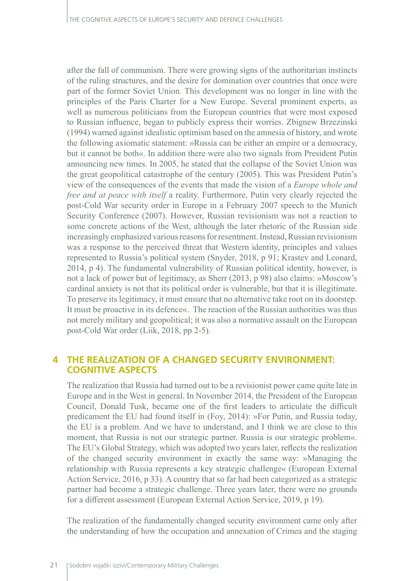after the fall of communism. There were growing signs of the authoritarian instincts of the ruling structures, and the desire for domination over countries that once were part of the former Soviet Union. This development was no longer in line with the principles of the Paris Charter for a New Europe. Several prominent experts, as well as numerous politicians from the European countries that were most exposed to Russian influence, began to publicly express their worries. Zbignew Brzezinski (1994) warned against idealistic optimism based on the amnesia of history, and wrote the following axiomatic statement: »Russia can be either an empire or a democracy, but it cannot be both«. In addition there were also two signals from President Putin announcing new times. In 2005, he stated that the collapse of the Soviet Union was the great geopolitical catastrophe of the century (2005). This was President Putin's view of the consequences of the events that made the vision of a *Europe whole and free and at peace with itself* a reality. Furthermore, Putin very clearly rejected the post-Cold War security order in Europe in a February 2007 speech to the Munich Security Conference (2007). However, Russian revisionism was not a reaction to some concrete actions of the West, although the later rhetoric of the Russian side increasingly emphasized various reasons for resentment. Instead, Russian revisionism was a response to the perceived threat that Western identity, principles and values represented to Russia's political system (Snyder, 2018, p 91; Krastev and Leonard, 2014, p 4). The fundamental vulnerability of Russian political identity, however, is not a lack of power but of legitimacy, as Sherr (2013, p 98) also claims: »Moscow's cardinal anxiety is not that its political order is vulnerable, but that it is illegitimate. To preserve its legitimacy, it must ensure that no alternative take root on its doorstep. It must be proactive in its defence«. The reaction of the Russian authorities was thus not merely military and geopolitical; it was also a normative assault on the European post-Cold War order (Liik, 2018, pp 2-5).

## **4 THE REALIZATION OF A CHANGED SECURITY ENVIRONMENT: COGNITIVE ASPECTS**

The realization that Russia had turned out to be a revisionist power came quite late in Europe and in the West in general. In November 2014, the President of the European Council, Donald Tusk, became one of the first leaders to articulate the difficult predicament the EU had found itself in (Foy, 2014): »For Putin, and Russia today, the EU is a problem. And we have to understand, and I think we are close to this moment, that Russia is not our strategic partner. Russia is our strategic problem«. The EU's Global Strategy, which was adopted two years later, reflects the realization of the changed security environment in exactly the same way: »Managing the relationship with Russia represents a key strategic challenge« (European External Action Service, 2016, p 33). A country that so far had been categorized as a strategic partner had become a strategic challenge. Three years later, there were no grounds for a different assessment (European External Action Service, 2019, p 19).

The realization of the fundamentally changed security environment came only after the understanding of how the occupation and annexation of Crimea and the staging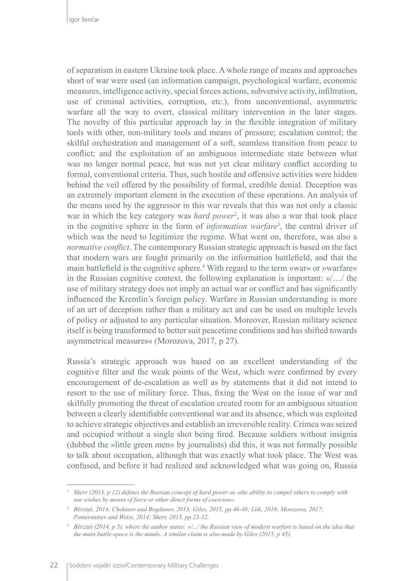of separatism in eastern Ukraine took place. A whole range of means and approaches short of war were used (an information campaign, psychological warfare, economic measures, intelligence activity, special forces actions, subversive activity, infiltration, use of criminal activities, corruption, etc.), from unconventional, asymmetric warfare all the way to overt, classical military intervention in the later stages. The novelty of this particular approach lay in the flexible integration of military tools with other, non-military tools and means of pressure; escalation control; the skilful orchestration and management of a soft, seamless transition from peace to conflict; and the exploitation of an ambiguous intermediate state between what was no longer normal peace, but was not yet clear military conflict according to formal, conventional criteria. Thus, such hostile and offensive activities were hidden behind the veil offered by the possibility of formal, credible denial. Deception was an extremely important element in the execution of these operations. An analysis of the means used by the aggressor in this war reveals that this was not only a classic war in which the key category was *hard power*<sup>2</sup> , it was also a war that took place in the cognitive sphere in the form of *information warfare*<sup>3</sup> , the central driver of which was the need to legitimize the regime. What went on, therefore, was also a *normative conflict*. The contemporary Russian strategic approach is based on the fact that modern wars are fought primarily on the information battlefield, and that the main battlefield is the cognitive sphere.4 With regard to the term »war« or »warfare« in the Russian cognitive context, the following explanation is important: »/…/ the use of military strategy does not imply an actual war or conflict and has significantly influenced the Kremlin's foreign policy. Warfare in Russian understanding is more of an art of deception rather than a military act and can be used on multiple levels of policy or adjusted to any particular situation. Moreover, Russian military science itself is being transformed to better suit peacetime conditions and has shifted towards asymmetrical measures« (Morozova, 2017, p 27).

Russia's strategic approach was based on an excellent understanding of the cognitive filter and the weak points of the West, which were confirmed by every encouragement of de-escalation as well as by statements that it did not intend to resort to the use of military force. Thus, fixing the West on the issue of war and skilfully promoting the threat of escalation created room for an ambiguous situation between a clearly identifiable conventional war and its absence, which was exploited to achieve strategic objectives and establish an irreversible reality. Crimea was seized and occupied without a single shot being fired. Because soldiers without insignia (dubbed the »little green men« by journalists) did this, it was not formally possible to talk about occupation, although that was exactly what took place. The West was confused, and before it had realized and acknowledged what was going on, Russia

*<sup>2</sup> Sherr (2013, p 12) defines the Russian concept of hard power as »the ability to compel others to comply with our wishes by means of force or other direct forms of coercion«.* 

*<sup>3</sup> Bērziņš, 2014; Chekinov and Bogdanov, 2013; Giles, 2015, pp 46-48; Liik, 2018; Morozova, 2017; Pomerantsev and Weiss, 2014; Sherr, 2015, pp 23-32.* 

*<sup>4</sup> Bērziņš (2014, p 5), where the author states: »/.../ the Russian view of modern warfare is based on the idea that the main battle-space is the mind«. A similar claim is also made by Giles (2015, p 45).*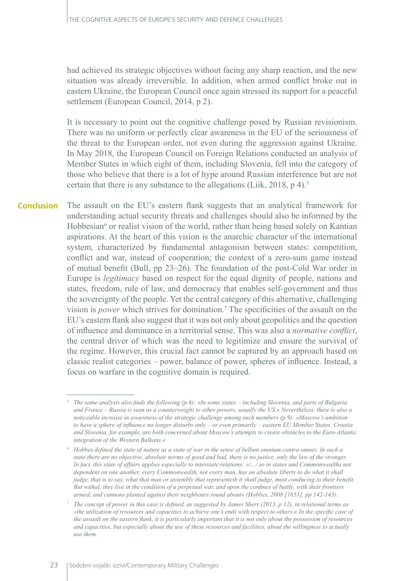had achieved its strategic objectives without facing any sharp reaction, and the new situation was already irreversible. In addition, when armed conflict broke out in eastern Ukraine, the European Council once again stressed its support for a peaceful settlement (European Council, 2014, p 2).

It is necessary to point out the cognitive challenge posed by Russian revisionism. There was no uniform or perfectly clear awareness in the EU of the seriousness of the threat to the European order, not even during the aggression against Ukraine. In May 2018, the European Council on Foreign Relations conducted an analysis of Member States in which eight of them, including Slovenia, fell into the category of those who believe that there is a lot of hype around Russian interference but are not certain that there is any substance to the allegations (Liik, 2018, p 4).<sup>5</sup>

The assault on the EU's eastern flank suggests that an analytical framework for understanding actual security threats and challenges should also be informed by the Hobbesian<sup>6</sup> or realist vision of the world, rather than being based solely on Kantian aspirations. At the heart of this vision is the anarchic character of the international system, characterized by fundamental antagonism between states: competition, conflict and war, instead of cooperation; the context of a zero-sum game instead of mutual benefit (Bull, pp 23–26). The foundation of the post-Cold War order in Europe is *legitimacy* based on respect for the equal dignity of people, nations and states, freedom, rule of law, and democracy that enables self-government and thus the sovereignty of the people. Yet the central category of this alternative, challenging vision is *power* which strives for domination.7 The specificities of the assault on the EU's eastern flank also suggest that it was not only about geopolitics and the question of influence and dominance in a territorial sense. This was also a *normative conflict*, the central driver of which was the need to legitimize and ensure the survival of the regime. However, this crucial fact cannot be captured by an approach based on classic realist categories – power, balance of power, spheres of influence. Instead, a focus on warfare in the cognitive domain is required. **Conclusion**

*<sup>5</sup> The same analysis also finds the following (p 6): »In some states – including Slovenia, and parts of Bulgaria and France – Russia is seen as a counterweight to other powers, usually the US.« Nevertheless, there is also a noticeable increase in awareness of the strategic challenge among such members (p 9): »Moscow's ambition to have a sphere of influence no longer disturbs only – or even primarily – eastern EU Member States. Croatia and Slovenia, for example, are both concerned about Moscow's attempts to create obstacles to the Euro-Atlantic integration of the Western Balkans.«* 

*<sup>6</sup> Hobbes defined the state of nature as a state of war in the sense of bellum omnium contra omnes. In such a state there are no objective, absolute norms of good and bad, there is no justice, only the law of the stronger. In fact, this state of affairs applies especially to interstate relations: »/.../ so in states and Commonwealths not dependent on one another, every Commonwealth, not every man, has an absolute liberty to do what it shall judge, that is to say, what that man or assembly that representeth it shall judge, most conducing to their benefit. But withal, they live in the condition of a perpetual war, and upon the confines of battle, with their frontiers armed, and cannons planted against their neighbours round about« (Hobbes, 2008 [1651], pp 142-143).* 

*<sup>7</sup> The concept of power in this case is defined, as suggested by James Sherr (2013, p 12), in relational terms as »the utilization of resources and capacities to achieve one's ends with respect to others.« In the specific case of the assault on the eastern flank, it is particularly important that it is not only about the possession of resources and capacities, but especially about the use of these resources and facilities, about the willingness to actually use them.*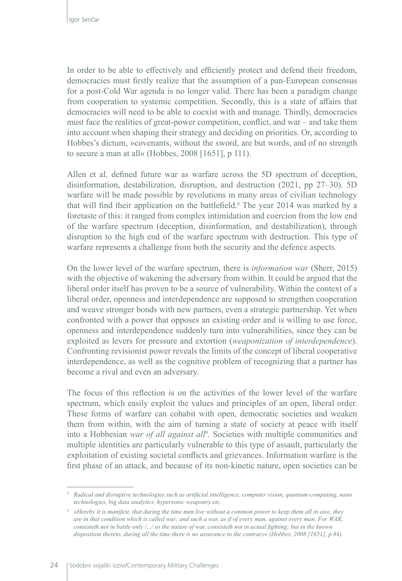In order to be able to effectively and efficiently protect and defend their freedom, democracies must firstly realize that the assumption of a pan-European consensus for a post-Cold War agenda is no longer valid. There has been a paradigm change from cooperation to systemic competition. Secondly, this is a state of affairs that democracies will need to be able to coexist with and manage. Thirdly, democracies must face the realities of great-power competition, conflict, and war – and take them into account when shaping their strategy and deciding on priorities. Or, according to Hobbes's dictum, »covenants, without the sword, are but words, and of no strength to secure a man at all« (Hobbes, 2008 [1651], p 111).

Allen et al. defined future war as warfare across the 5D spectrum of deception, disinformation, destabilization, disruption, and destruction (2021, pp 27–30). 5D warfare will be made possible by revolutions in many areas of civilian technology that will find their application on the battlefield.<sup>8</sup> The year 2014 was marked by a foretaste of this: it ranged from complex intimidation and coercion from the low end of the warfare spectrum (deception, disinformation, and destabilization), through disruption to the high end of the warfare spectrum with destruction. This type of warfare represents a challenge from both the security and the defence aspects.

On the lower level of the warfare spectrum, there is *information war* (Sherr, 2015) with the objective of wakening the adversary from within. It could be argued that the liberal order itself has proven to be a source of vulnerability. Within the context of a liberal order, openness and interdependence are supposed to strengthen cooperation and weave stronger bonds with new partners, even a strategic partnership. Yet when confronted with a power that opposes an existing order and is willing to use force, openness and interdependence suddenly turn into vulnerabilities, since they can be exploited as levers for pressure and extortion (*weaponization of interdependence*). Confronting revisionist power reveals the limits of the concept of liberal cooperative interdependence, as well as the cognitive problem of recognizing that a partner has become a rival and even an adversary.

The focus of this reflection is on the activities of the lower level of the warfare spectrum, which easily exploit the values and principles of an open, liberal order. These forms of warfare can cohabit with open, democratic societies and weaken them from within, with the aim of turning a state of society at peace with itself into a Hobbesian war of all against all<sup>9</sup>. Societies with multiple communities and multiple identities are particularly vulnerable to this type of assault, particularly the exploitation of existing societal conflicts and grievances. Information warfare is the first phase of an attack, and because of its non-kinetic nature, open societies can be

*<sup>8</sup> Radical and disruptive technologies such as artificial intelligence, computer vision, quantum-computing, nano technologies, big data analytics, hypersonic weaponry etc.*

*<sup>9</sup> »Hereby it is manifest, that during the time men live without a common power to keep them all in awe, they are in that condition which is called war; and such a war, as if of every man, against every man. For WAR, consisteth not in battle only /.../ so the nature of war, consisteth not in actual fighting; but in the known disposition thereto, during all the time there is no assurance to the contrary« (Hobbes, 2008 [1651], p 84).*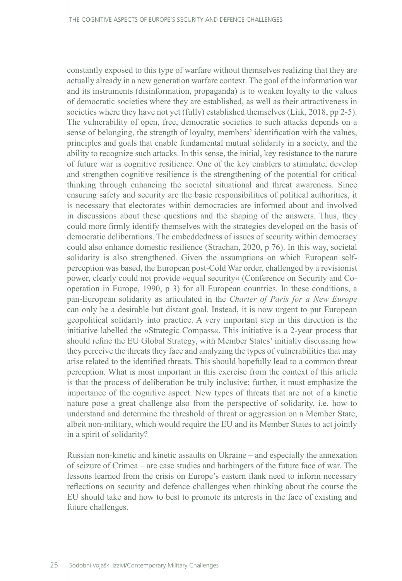constantly exposed to this type of warfare without themselves realizing that they are actually already in a new generation warfare context. The goal of the information war and its instruments (disinformation, propaganda) is to weaken loyalty to the values of democratic societies where they are established, as well as their attractiveness in societies where they have not yet (fully) established themselves (Liik, 2018, pp 2-5). The vulnerability of open, free, democratic societies to such attacks depends on a sense of belonging, the strength of loyalty, members' identification with the values, principles and goals that enable fundamental mutual solidarity in a society, and the ability to recognize such attacks. In this sense, the initial, key resistance to the nature of future war is cognitive resilience. One of the key enablers to stimulate, develop and strengthen cognitive resilience is the strengthening of the potential for critical thinking through enhancing the societal situational and threat awareness. Since ensuring safety and security are the basic responsibilities of political authorities, it is necessary that electorates within democracies are informed about and involved in discussions about these questions and the shaping of the answers. Thus, they could more firmly identify themselves with the strategies developed on the basis of democratic deliberations. The embeddedness of issues of security within democracy could also enhance domestic resilience (Strachan, 2020, p 76). In this way, societal solidarity is also strengthened. Given the assumptions on which European selfperception was based, the European post-Cold War order, challenged by a revisionist power, clearly could not provide »equal security« (Conference on Security and Cooperation in Europe, 1990, p 3) for all European countries. In these conditions, a pan-European solidarity as articulated in the *Charter of Paris for a New Europe* can only be a desirable but distant goal. Instead, it is now urgent to put European geopolitical solidarity into practice. A very important step in this direction is the initiative labelled the »Strategic Compass«. This initiative is a 2-year process that should refine the EU Global Strategy, with Member States' initially discussing how they perceive the threats they face and analyzing the types of vulnerabilities that may arise related to the identified threats. This should hopefully lead to a common threat perception. What is most important in this exercise from the context of this article is that the process of deliberation be truly inclusive; further, it must emphasize the importance of the cognitive aspect. New types of threats that are not of a kinetic nature pose a great challenge also from the perspective of solidarity, i.e. how to understand and determine the threshold of threat or aggression on a Member State, albeit non-military, which would require the EU and its Member States to act jointly in a spirit of solidarity?

Russian non-kinetic and kinetic assaults on Ukraine – and especially the annexation of seizure of Crimea – are case studies and harbingers of the future face of war. The lessons learned from the crisis on Europe's eastern flank need to inform necessary reflections on security and defence challenges when thinking about the course the EU should take and how to best to promote its interests in the face of existing and future challenges.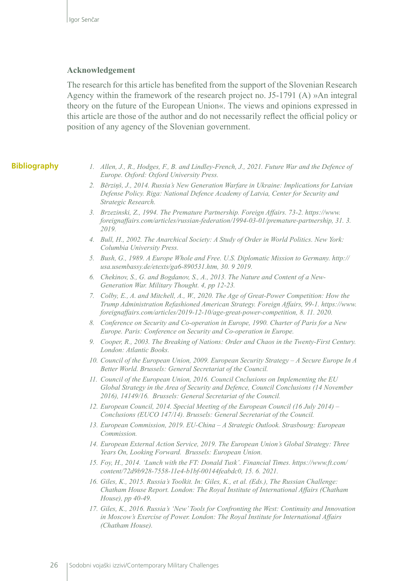#### **Acknowledgement**

The research for this article has benefited from the support of the Slovenian Research Agency within the framework of the research project no. J5-1791 (A) »An integral theory on the future of the European Union«. The views and opinions expressed in this article are those of the author and do not necessarily reflect the official policy or position of any agency of the Slovenian government.

#### **Bibliography**

- *1. Allen, J., R., Hodges, F., B. and Lindley-French, J., 2021. Future War and the Defence of Europe. Oxford: Oxford University Press.*
- *2. Bērziņš, J., 2014. Russia's New Generation Warfare in Ukraine: Implications for Latvian Defense Policy. Riga: National Defence Academy of Latvia, Center for Security and Strategic Research.*
- *3. Brzezinski, Z., 1994. The Premature Partnership. Foreign Affairs. 73-2. https://www. foreignaffairs.com/articles/russian-federation/1994-03-01/premature-partnership, 31. 3. 2019.*
- *4. Bull, H., 2002. The Anarchical Society: A Study of Order in World Politics. New York: Columbia University Press.*
- *5. Bush, G., 1989. A Europe Whole and Free. U.S. Diplomatic Mission to Germany. [http://](http://usa.usembassy.de/etexts/ga6-890531.htm) [usa.usembassy.de/etexts/ga6-890531.htm,](http://usa.usembassy.de/etexts/ga6-890531.htm) 30. 9 2019.*
- *6. Chekinov, S., G. and Bogdanov, S., A., 2013. The Nature and Content of a New-Generation War. Military Thought. 4, pp 12-23.*
- *7. Colby, E., A. and Mitchell, A., W., 2020. The Age of Great-Power Competition: How the Trump Administration Refashioned American Strategy. Foreign Affairs, 99-1. https://www. foreignaffairs.com/articles/2019-12-10/age-great-power-competition, 8. 11. 2020.*
- *8. Conference on Security and Co-operation in Europe, 1990. Charter of Paris for a New Europe. Paris: Conference on Security and Co-operation in Europe.*
- *9. Cooper, R., 2003. The Breaking of Nations: Order and Chaos in the Twenty-First Century. London: Atlantic Books.*
- *10. Council of the European Union, 2009. European Security Strategy A Secure Europe In A Better World. Brussels: General Secretariat of the Council.*
- *11. Council of the European Union, 2016. Council Cnclusions on Implementing the EU Global Strategy in the Area of Security and Defence, Council Conclusions (14 November 2016), 14149/16. Brussels: General Secretariat of the Council.*
- *12. European Council, 2014. Special Meeting of the European Council (16 July 2014) Conclusions (EUCO 147/14). Brussels: General Secretariat of the Council.*
- *13. European Commission, 2019. EU-China A Strategic Outlook. Strasbourg: European Commission.*
- *14. European External Action Service, 2019. The European Union's Global Strategy: Three Years On, Looking Forward. Brussels: European Union.*
- *15. Foy, H., 2014. 'Lunch with the FT: Donald Tusk'. Financial Times. https://www.ft.com/ content/72d9b928-7558-11e4-b1bf-00144feabdc0, 15. 6. 2021.*
- *16. Giles, K., 2015. Russia's Toolkit. In: Giles, K., et al. (Eds.), The Russian Challenge: Chatham House Report. London: The Royal Institute of International Affairs (Chatham House), pp 40-49.*
- *17. Giles, K., 2016. Russia's 'New' Tools for Confronting the West: Continuity and Innovation in Moscow's Exercise of Power. London: The Royal Institute for International Affairs (Chatham House).*